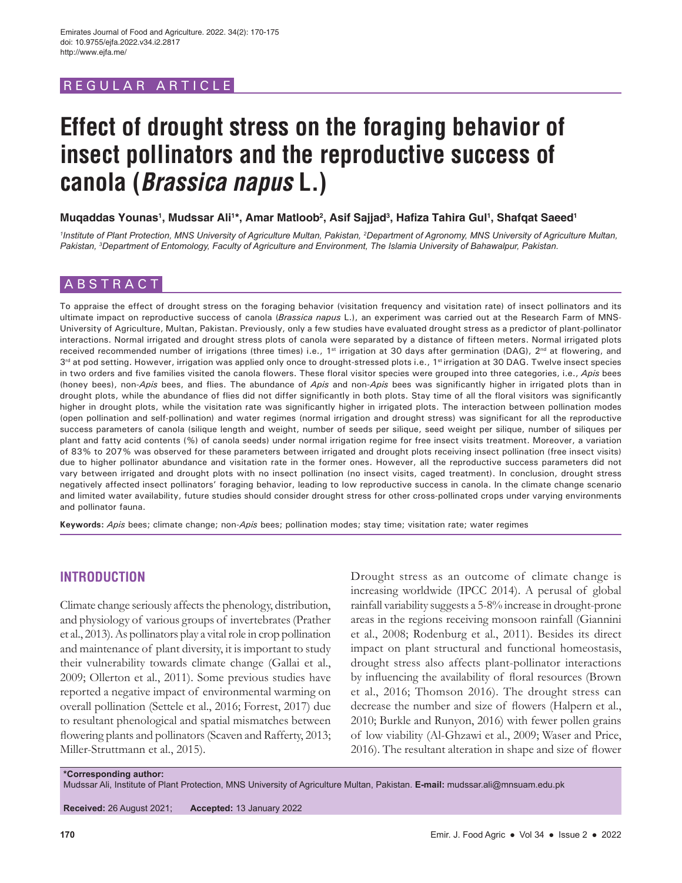# REGULAR ARTICLE

# **Effect of drought stress on the foraging behavior of insect pollinators and the reproductive success of canola (Brassica napus L.)**

# **Muqaddas Younas1 , Mudssar Ali1 \*, Amar Matloob2 , Asif Sajjad3 , Hafiza Tahira Gul<sup>1</sup> , Shafqat Saeed<sup>1</sup>**

<sup>1</sup>Institute of Plant Protection, MNS University of Agriculture Multan, Pakistan, <sup>2</sup>Department of Agronomy, MNS University of Agriculture Multan, *Pakistan, 3 Department of Entomology, Faculty of Agriculture and Environment, The Islamia University of Bahawalpur, Pakistan.*

# ABSTRACT

To appraise the effect of drought stress on the foraging behavior (visitation frequency and visitation rate) of insect pollinators and its ultimate impact on reproductive success of canola (*Brassica napus* L.), an experiment was carried out at the Research Farm of MNS-University of Agriculture, Multan, Pakistan. Previously, only a few studies have evaluated drought stress as a predictor of plant-pollinator interactions. Normal irrigated and drought stress plots of canola were separated by a distance of fifteen meters. Normal irrigated plots received recommended number of irrigations (three times) i.e., 1<sup>st</sup> irrigation at 30 days after germination (DAG), 2<sup>nd</sup> at flowering, and  $3<sup>rd</sup>$  at pod setting. However, irrigation was applied only once to drought-stressed plots i.e., 1<sup>st</sup> irrigation at 30 DAG. Twelve insect species in two orders and five families visited the canola flowers. These floral visitor species were grouped into three categories, i.e., *Apis* bees (honey bees), non-*Apis* bees, and flies. The abundance of *Apis* and non-*Apis* bees was significantly higher in irrigated plots than in drought plots, while the abundance of flies did not differ significantly in both plots. Stay time of all the floral visitors was significantly higher in drought plots, while the visitation rate was significantly higher in irrigated plots. The interaction between pollination modes (open pollination and self-pollination) and water regimes (normal irrigation and drought stress) was significant for all the reproductive success parameters of canola (silique length and weight, number of seeds per silique, seed weight per silique, number of siliques per plant and fatty acid contents (%) of canola seeds) under normal irrigation regime for free insect visits treatment. Moreover, a variation of 83% to 207% was observed for these parameters between irrigated and drought plots receiving insect pollination (free insect visits) due to higher pollinator abundance and visitation rate in the former ones. However, all the reproductive success parameters did not vary between irrigated and drought plots with no insect pollination (no insect visits, caged treatment). In conclusion, drought stress negatively affected insect pollinators' foraging behavior, leading to low reproductive success in canola. In the climate change scenario and limited water availability, future studies should consider drought stress for other cross-pollinated crops under varying environments and pollinator fauna.

**Keywords:** *Apis* bees; climate change; non-*Apis* bees; pollination modes; stay time; visitation rate; water regimes

# **INTRODUCTION**

Climate change seriously affects the phenology, distribution, and physiology of various groups of invertebrates (Prather et al., 2013). As pollinators play a vital role in crop pollination and maintenance of plant diversity, it is important to study their vulnerability towards climate change (Gallai et al., 2009; Ollerton et al., 2011). Some previous studies have reported a negative impact of environmental warming on overall pollination (Settele et al., 2016; Forrest, 2017) due to resultant phenological and spatial mismatches between flowering plants and pollinators (Scaven and Rafferty, 2013; Miller-Struttmann et al., 2015).

Drought stress as an outcome of climate change is increasing worldwide (IPCC 2014). A perusal of global rainfall variability suggests a 5-8% increase in drought-prone areas in the regions receiving monsoon rainfall (Giannini et al., 2008; Rodenburg et al., 2011). Besides its direct impact on plant structural and functional homeostasis, drought stress also affects plant-pollinator interactions by influencing the availability of floral resources (Brown et al., 2016; Thomson 2016). The drought stress can decrease the number and size of flowers (Halpern et al., 2010; Burkle and Runyon, 2016) with fewer pollen grains of low viability (Al-Ghzawi et al., 2009; Waser and Price, 2016). The resultant alteration in shape and size of flower

**\*Corresponding author:**

Mudssar Ali, Institute of Plant Protection, MNS University of Agriculture Multan, Pakistan. **E-mail:** mudssar.ali@mnsuam.edu.pk

**Received:** 26 August 2021; **Accepted:** 13 January 2022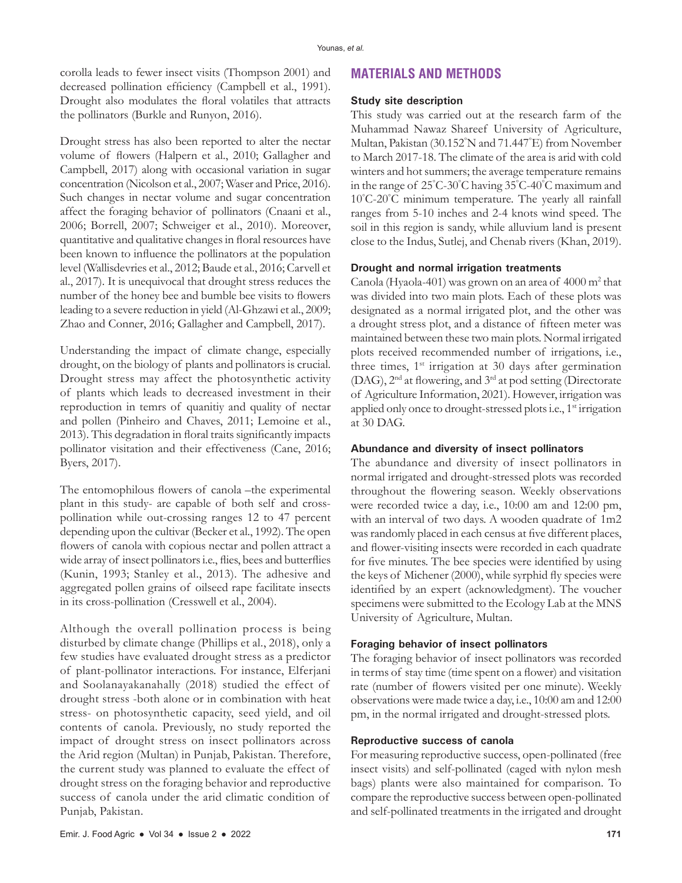corolla leads to fewer insect visits (Thompson 2001) and decreased pollination efficiency (Campbell et al., 1991). Drought also modulates the floral volatiles that attracts the pollinators (Burkle and Runyon, 2016).

Drought stress has also been reported to alter the nectar volume of flowers (Halpern et al., 2010; Gallagher and Campbell, 2017) along with occasional variation in sugar concentration (Nicolson et al., 2007; Waser and Price, 2016). Such changes in nectar volume and sugar concentration affect the foraging behavior of pollinators (Cnaani et al., 2006; Borrell, 2007; Schweiger et al., 2010). Moreover, quantitative and qualitative changes in floral resources have been known to influence the pollinators at the population level (Wallisdevries et al., 2012; Baude et al., 2016; Carvell et al., 2017). It is unequivocal that drought stress reduces the number of the honey bee and bumble bee visits to flowers leading to a severe reduction in yield (Al-Ghzawi et al., 2009; Zhao and Conner, 2016; Gallagher and Campbell, 2017).

Understanding the impact of climate change, especially drought, on the biology of plants and pollinators is crucial. Drought stress may affect the photosynthetic activity of plants which leads to decreased investment in their reproduction in temrs of quanitiy and quality of nectar and pollen (Pinheiro and Chaves, 2011; Lemoine et al., 2013). This degradation in floral traits significantly impacts pollinator visitation and their effectiveness (Cane, 2016; Byers, 2017).

The entomophilous flowers of canola –the experimental plant in this study- are capable of both self and crosspollination while out-crossing ranges 12 to 47 percent depending upon the cultivar (Becker et al., 1992). The open flowers of canola with copious nectar and pollen attract a wide array of insect pollinators i.e., flies, bees and butterflies (Kunin, 1993; Stanley et al., 2013). The adhesive and aggregated pollen grains of oilseed rape facilitate insects in its cross-pollination (Cresswell et al., 2004).

Although the overall pollination process is being disturbed by climate change (Phillips et al., 2018), only a few studies have evaluated drought stress as a predictor of plant-pollinator interactions. For instance, Elferjani and Soolanayakanahally (2018) studied the effect of drought stress -both alone or in combination with heat stress- on photosynthetic capacity, seed yield, and oil contents of canola. Previously, no study reported the impact of drought stress on insect pollinators across the Arid region (Multan) in Punjab, Pakistan. Therefore, the current study was planned to evaluate the effect of drought stress on the foraging behavior and reproductive success of canola under the arid climatic condition of Punjab, Pakistan.

### **MATERIALS AND METHODS**

#### **Study site description**

This study was carried out at the research farm of the Muhammad Nawaz Shareef University of Agriculture, Multan, Pakistan (30.152° N and 71.447° E) from November to March 2017-18. The climate of the area is arid with cold winters and hot summers; the average temperature remains in the range of 25° C-30° C having 35° C-40° C maximum and 10° C-20° C minimum temperature. The yearly all rainfall ranges from 5-10 inches and 2-4 knots wind speed. The soil in this region is sandy, while alluvium land is present close to the Indus, Sutlej, and Chenab rivers (Khan, 2019).

#### **Drought and normal irrigation treatments**

Canola (Hyaola-401) was grown on an area of 4000 m<sup>2</sup> that was divided into two main plots. Each of these plots was designated as a normal irrigated plot, and the other was a drought stress plot, and a distance of fifteen meter was maintained between these two main plots. Normal irrigated plots received recommended number of irrigations, i.e., three times,  $1<sup>st</sup>$  irrigation at 30 days after germination (DAG), 2nd at flowering, and 3rd at pod setting (Directorate of Agriculture Information, 2021). However, irrigation was applied only once to drought-stressed plots i.e., 1<sup>st</sup> irrigation at 30 DAG.

#### **Abundance and diversity of insect pollinators**

The abundance and diversity of insect pollinators in normal irrigated and drought-stressed plots was recorded throughout the flowering season. Weekly observations were recorded twice a day, i.e., 10:00 am and 12:00 pm, with an interval of two days. A wooden quadrate of 1m2 was randomly placed in each census at five different places, and flower-visiting insects were recorded in each quadrate for five minutes. The bee species were identified by using the keys of Michener (2000), while syrphid fly species were identified by an expert (acknowledgment). The voucher specimens were submitted to the Ecology Lab at the MNS University of Agriculture, Multan.

#### **Foraging behavior of insect pollinators**

The foraging behavior of insect pollinators was recorded in terms of stay time (time spent on a flower) and visitation rate (number of flowers visited per one minute). Weekly observations were made twice a day, i.e., 10:00 am and 12:00 pm, in the normal irrigated and drought-stressed plots.

#### **Reproductive success of canola**

For measuring reproductive success, open-pollinated (free insect visits) and self-pollinated (caged with nylon mesh bags) plants were also maintained for comparison. To compare the reproductive success between open-pollinated and self-pollinated treatments in the irrigated and drought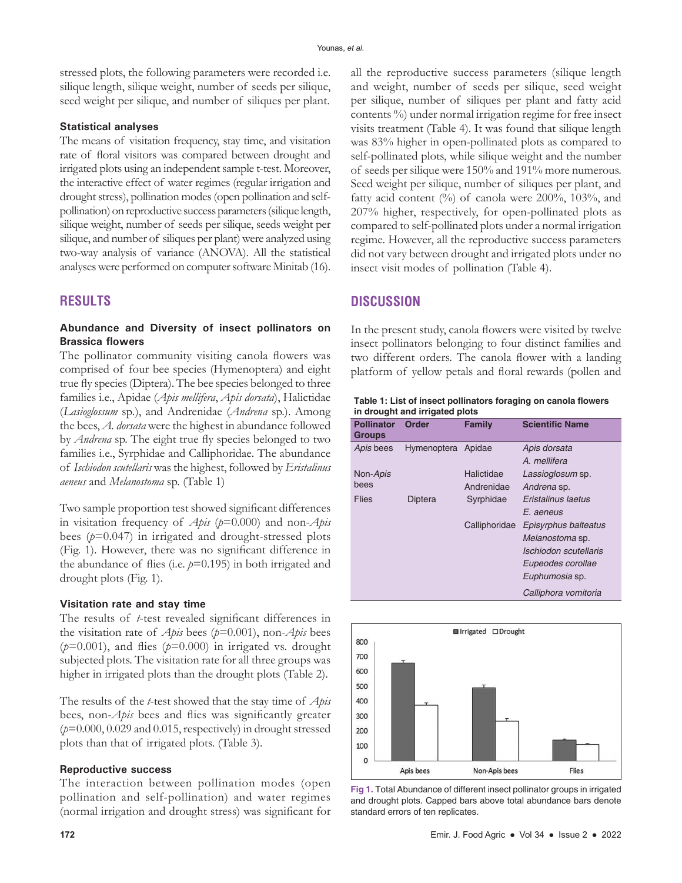stressed plots, the following parameters were recorded i.e. silique length, silique weight, number of seeds per silique, seed weight per silique, and number of siliques per plant.

#### **Statistical analyses**

The means of visitation frequency, stay time, and visitation rate of floral visitors was compared between drought and irrigated plots using an independent sample t-test. Moreover, the interactive effect of water regimes (regular irrigation and drought stress), pollination modes (open pollination and selfpollination) on reproductive success parameters (silique length, silique weight, number of seeds per silique, seeds weight per silique, and number of siliques per plant) were analyzed using two-way analysis of variance (ANOVA). All the statistical analyses were performed on computer software Minitab (16).

# **RESULTS**

#### **Abundance and Diversity of insect pollinators on Brassica flowers**

The pollinator community visiting canola flowers was comprised of four bee species (Hymenoptera) and eight true fly species (Diptera). The bee species belonged to three families i.e., Apidae (*Apis mellifera*, *Apis dorsata*), Halictidae (*Lasioglossum* sp*.*), and Andrenidae (*Andrena* sp.). Among the bees, *A. dorsata* were the highest in abundance followed by *Andrena* sp. The eight true fly species belonged to two families i.e., Syrphidae and Calliphoridae. The abundance of *Ischiodon scutellaris* was the highest, followed by *Eristalinus aeneus* and *Melanostoma* sp. (Table 1)

Two sample proportion test showed significant differences in visitation frequency of *Apis* (*p*=0.000) and non-*Apis* bees (*p*=0.047) in irrigated and drought-stressed plots (Fig. 1). However, there was no significant difference in the abundance of flies (i.e.  $p=0.195$ ) in both irrigated and drought plots (Fig. 1).

#### **Visitation rate and stay time**

The results of *t*-test revealed significant differences in the visitation rate of *Apis* bees (*p*=0.001), non-*Apis* bees  $(p=0.001)$ , and flies  $(p=0.000)$  in irrigated vs. drought subjected plots. The visitation rate for all three groups was higher in irrigated plots than the drought plots (Table 2).

The results of the *t*-test showed that the stay time of *Apis* bees, non-*Apis* bees and flies was significantly greater (*p*=0.000, 0.029 and 0.015, respectively) in drought stressed plots than that of irrigated plots. (Table 3).

#### **Reproductive success**

The interaction between pollination modes (open pollination and self-pollination) and water regimes (normal irrigation and drought stress) was significant for all the reproductive success parameters (silique length and weight, number of seeds per silique, seed weight per silique, number of siliques per plant and fatty acid contents %) under normal irrigation regime for free insect visits treatment (Table 4). It was found that silique length was 83% higher in open-pollinated plots as compared to self-pollinated plots, while silique weight and the number of seeds per silique were 150% and 191% more numerous. Seed weight per silique, number of siliques per plant, and fatty acid content  $\left(\frac{9}{0}\right)$  of canola were 200%, 103%, and 207% higher, respectively, for open-pollinated plots as compared to self-pollinated plots under a normal irrigation regime. However, all the reproductive success parameters did not vary between drought and irrigated plots under no insect visit modes of pollination (Table 4).

# **DISCUSSION**

In the present study, canola flowers were visited by twelve insect pollinators belonging to four distinct families and two different orders. The canola flower with a landing platform of yellow petals and floral rewards (pollen and

| Table 1: List of insect pollinators foraging on canola flowers |
|----------------------------------------------------------------|
| in drought and irrigated plots                                 |

| <b>Pollinator</b><br><b>Groups</b> | Order          | Family        | <b>Scientific Name</b> |
|------------------------------------|----------------|---------------|------------------------|
| Apis bees                          | Hymenoptera    | Apidae        | Apis dorsata           |
|                                    |                |               | A. mellifera           |
| Non-Apis                           |                | Halictidae    | Lassioglosum sp.       |
| bees                               |                | Andrenidae    | Andrena sp.            |
| Flies                              | <b>Diptera</b> | Syrphidae     | Eristalinus laetus     |
|                                    |                |               | E. aeneus              |
|                                    |                | Calliphoridae | Episyrphus balteatus   |
|                                    |                |               | Melanostoma sp.        |
|                                    |                |               | Ischiodon scutellaris  |
|                                    |                |               | Eupeodes corollae      |
|                                    |                |               | Euphumosia sp.         |
|                                    |                |               | Calliphora vomitoria   |



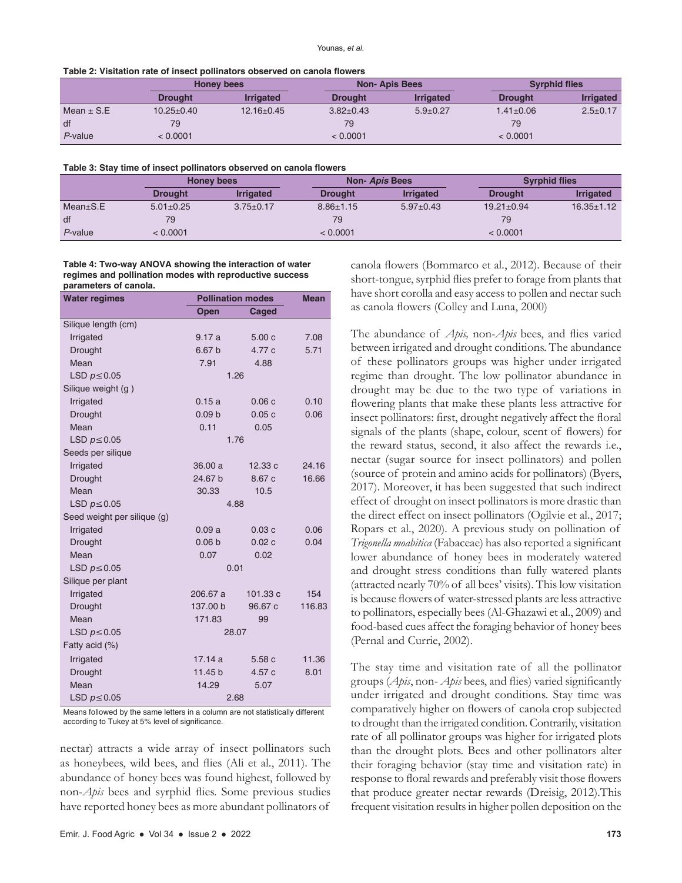| Table 2: Visitation rate of insect pollinators observed on canola flowers |  |  |
|---------------------------------------------------------------------------|--|--|
|---------------------------------------------------------------------------|--|--|

|                |                  | Honey bees       |                 | <b>Non-Apis Bees</b> |                 | <b>Syrphid flies</b> |  |
|----------------|------------------|------------------|-----------------|----------------------|-----------------|----------------------|--|
|                | <b>Drought</b>   | <b>Irrigated</b> | <b>Drought</b>  | <b>Irrigated</b>     | <b>Drought</b>  | <b>Irrigated</b>     |  |
| Mean $\pm$ S.E | $10.25 \pm 0.40$ | $12.16 \pm 0.45$ | $3.82 \pm 0.43$ | $5.9 \pm 0.27$       | $1.41 \pm 0.06$ | $2.5 \pm 0.17$       |  |
| df             | 79               |                  | 79              |                      | 79              |                      |  |
| P-value        | < 0.0001         |                  | < 0.0001        |                      | < 0.0001        |                      |  |

|            |                 | Honey bees       |                 | Non- Apis Bees   |                  | <b>Syrphid flies</b> |  |
|------------|-----------------|------------------|-----------------|------------------|------------------|----------------------|--|
|            | <b>Drought</b>  | <b>Irrigated</b> | <b>Drought</b>  | <b>Irrigated</b> | <b>Drought</b>   | <b>Irrigated</b>     |  |
| Mean±S.E   | $5.01 \pm 0.25$ | $3.75 \pm 0.17$  | $8.86 \pm 1.15$ | $5.97+0.43$      | $19.21 \pm 0.94$ | $16.35 \pm 1.12$     |  |
| df         | 79              |                  | 79              |                  | 79               |                      |  |
| $P$ -value | < 0.0001        |                  | < 0.0001        |                  | < 0.0001         |                      |  |

**Table 4: Two‑way ANOVA showing the interaction of water regimes and pollination modes with reproductive success parameters of canola.**

| <b>Water regimes</b>        | <b>Pollination modes</b> | <b>Mean</b> |        |
|-----------------------------|--------------------------|-------------|--------|
|                             | <b>Open</b>              | Caged       |        |
| Silique length (cm)         |                          |             |        |
| Irrigated                   | 9.17a                    | 5.00c       | 7.08   |
| <b>Drought</b>              | 6.67 <sub>b</sub>        | 4.77 c      | 5.71   |
| Mean                        | 7.91                     | 4.88        |        |
| LSD $p \le 0.05$            | 1.26                     |             |        |
| Silique weight (g)          |                          |             |        |
| Irrigated                   | 0.15a                    | 0.06c       | 0.10   |
| Drought                     | 0.09 <sub>b</sub>        | 0.05c       | 0.06   |
| Mean                        | 0.11                     | 0.05        |        |
| LSD $p \le 0.05$            | 1.76                     |             |        |
| Seeds per silique           |                          |             |        |
| Irrigated                   | 36.00 a                  | 12.33c      | 24.16  |
| Drought                     | 24.67 b                  | 8.67 c      | 16.66  |
| Mean                        | 30.33                    | 10.5        |        |
| LSD $p \le 0.05$            | 4.88                     |             |        |
| Seed weight per silique (g) |                          |             |        |
| Irrigated                   | 0.09a                    | 0.03c       | 0.06   |
| Drought                     | 0.06 <sub>b</sub>        | 0.02c       | 0.04   |
| Mean                        | 0.07                     | 0.02        |        |
| LSD $p \le 0.05$            | 0.01                     |             |        |
| Silique per plant           |                          |             |        |
| Irrigated                   | 206.67 a                 | 101.33 c    | 154    |
| <b>Drought</b>              | 137,00 b                 | 96.67 c     | 116.83 |
| Mean                        | 171.83                   | 99          |        |
| LSD $p \le 0.05$            | 28.07                    |             |        |
| Fatty acid (%)              |                          |             |        |
| Irrigated                   | 17.14a                   | 5.58c       | 11.36  |
| Drought                     | 11.45 b                  | 4.57c       | 8.01   |
| Mean                        | 14.29                    | 5.07        |        |
| LSD $p \le 0.05$            | 2.68                     |             |        |

Means followed by the same letters in a column are not statistically different according to Tukey at 5% level of significance.

nectar) attracts a wide array of insect pollinators such as honeybees, wild bees, and flies (Ali et al., 2011). The abundance of honey bees was found highest, followed by non-*Apis* bees and syrphid flies. Some previous studies have reported honey bees as more abundant pollinators of canola flowers (Bommarco et al., 2012). Because of their short-tongue, syrphid flies prefer to forage from plants that have short corolla and easy access to pollen and nectar such as canola flowers (Colley and Luna, 2000)

The abundance of *Apis,* non-*Apis* bees, and flies varied between irrigated and drought conditions. The abundance of these pollinators groups was higher under irrigated regime than drought. The low pollinator abundance in drought may be due to the two type of variations in flowering plants that make these plants less attractive for insect pollinators: first, drought negatively affect the floral signals of the plants (shape, colour, scent of flowers) for the reward status, second, it also affect the rewards i.e., nectar (sugar source for insect pollinators) and pollen (source of protein and amino acids for pollinators) (Byers, 2017). Moreover, it has been suggested that such indirect effect of drought on insect pollinators is more drastic than the direct effect on insect pollinators (Ogilvie et al., 2017; Ropars et al., 2020). A previous study on pollination of *Trigonella moabitica* (Fabaceae) has also reported a significant lower abundance of honey bees in moderately watered and drought stress conditions than fully watered plants (attracted nearly 70% of all bees' visits). This low visitation is because flowers of water-stressed plants are less attractive to pollinators, especially bees (Al-Ghazawi et al., 2009) and food-based cues affect the foraging behavior of honey bees (Pernal and Currie, 2002).

The stay time and visitation rate of all the pollinator groups (*Apis*, non- *Apis* bees, and flies) varied significantly under irrigated and drought conditions. Stay time was comparatively higher on flowers of canola crop subjected to drought than the irrigated condition. Contrarily, visitation rate of all pollinator groups was higher for irrigated plots than the drought plots. Bees and other pollinators alter their foraging behavior (stay time and visitation rate) in response to floral rewards and preferably visit those flowers that produce greater nectar rewards (Dreisig, 2012).This frequent visitation results in higher pollen deposition on the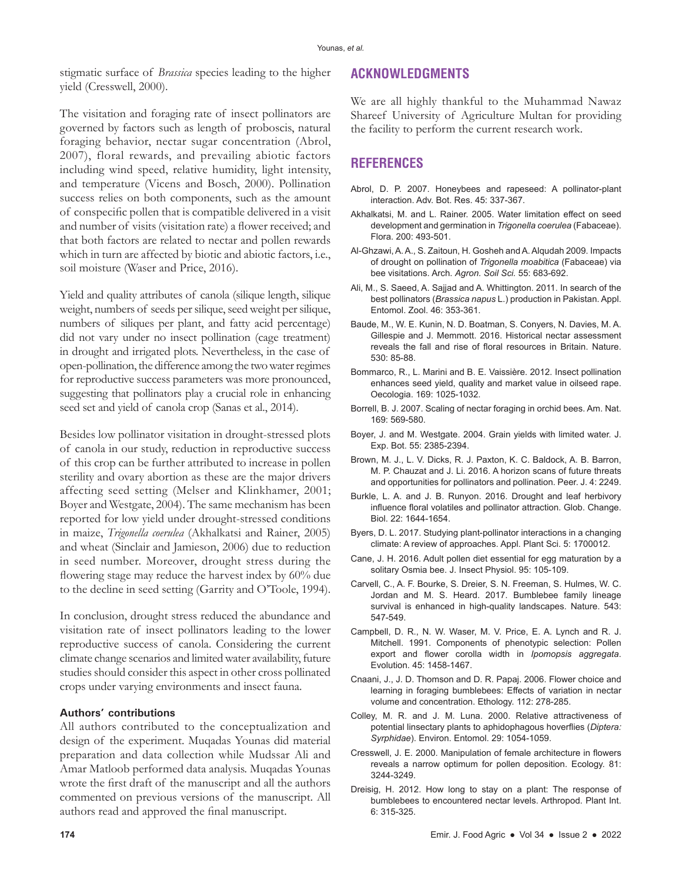stigmatic surface of *Brassica* species leading to the higher yield (Cresswell, 2000).

#### **ACKNOWLEDGMENTS**

The visitation and foraging rate of insect pollinators are governed by factors such as length of proboscis, natural foraging behavior, nectar sugar concentration (Abrol, 2007), floral rewards, and prevailing abiotic factors including wind speed, relative humidity, light intensity, and temperature (Vicens and Bosch, 2000). Pollination success relies on both components, such as the amount of conspecific pollen that is compatible delivered in a visit and number of visits (visitation rate) a flower received; and that both factors are related to nectar and pollen rewards which in turn are affected by biotic and abiotic factors, i.e., soil moisture (Waser and Price, 2016).

Yield and quality attributes of canola (silique length, silique weight, numbers of seeds per silique, seed weight per silique, numbers of siliques per plant, and fatty acid percentage) did not vary under no insect pollination (cage treatment) in drought and irrigated plots. Nevertheless, in the case of open-pollination, the difference among the two water regimes for reproductive success parameters was more pronounced, suggesting that pollinators play a crucial role in enhancing seed set and yield of canola crop (Sanas et al., 2014).

Besides low pollinator visitation in drought-stressed plots of canola in our study, reduction in reproductive success of this crop can be further attributed to increase in pollen sterility and ovary abortion as these are the major drivers affecting seed setting (Melser and Klinkhamer, 2001; Boyer and Westgate, 2004). The same mechanism has been reported for low yield under drought-stressed conditions in maize, *Trigonella coerulea* (Akhalkatsi and Rainer, 2005) and wheat (Sinclair and Jamieson, 2006) due to reduction in seed number. Moreover, drought stress during the flowering stage may reduce the harvest index by 60% due to the decline in seed setting (Garrity and O'Toole, 1994).

In conclusion, drought stress reduced the abundance and visitation rate of insect pollinators leading to the lower reproductive success of canola. Considering the current climate change scenarios and limited water availability, future studies should consider this aspect in other cross pollinated crops under varying environments and insect fauna.

## **Authors' contributions**

All authors contributed to the conceptualization and design of the experiment. Muqadas Younas did material preparation and data collection while Mudssar Ali and Amar Matloob performed data analysis. Muqadas Younas wrote the first draft of the manuscript and all the authors commented on previous versions of the manuscript. All authors read and approved the final manuscript.

We are all highly thankful to the Muhammad Nawaz Shareef University of Agriculture Multan for providing the facility to perform the current research work.

# **REFERENCES**

- Abrol, D. P. 2007. Honeybees and rapeseed: A pollinator-plant interaction. Adv. Bot. Res. 45: 337-367.
- Akhalkatsi, M. and L. Rainer. 2005. Water limitation effect on seed development and germination in *Trigonella coerulea* (Fabaceae). Flora. 200: 493-501.
- Al-Ghzawi, A. A., S. Zaitoun, H. Gosheh and A. Alqudah 2009. Impacts of drought on pollination of *Trigonella moabitica* (Fabaceae) via bee visitations. Arch. *Agron. Soil Sci.* 55: 683-692.
- Ali, M., S. Saeed, A. Sajjad and A. Whittington. 2011. In search of the best pollinators (*Brassica napus* L.) production in Pakistan. Appl. Entomol. Zool. 46: 353-361.
- Baude, M., W. E. Kunin, N. D. Boatman, S. Conyers, N. Davies, M. A. Gillespie and J. Memmott. 2016. Historical nectar assessment reveals the fall and rise of floral resources in Britain. Nature. 530: 85-88.
- Bommarco, R., L. Marini and B. E. Vaissière. 2012. Insect pollination enhances seed yield, quality and market value in oilseed rape. Oecologia. 169: 1025-1032.
- Borrell, B. J. 2007. Scaling of nectar foraging in orchid bees. Am. Nat. 169: 569-580.
- Boyer, J. and M. Westgate. 2004. Grain yields with limited water. J. Exp. Bot. 55: 2385-2394.
- Brown, M. J., L. V. Dicks, R. J. Paxton, K. C. Baldock, A. B. Barron, M. P. Chauzat and J. Li. 2016. A horizon scans of future threats and opportunities for pollinators and pollination. Peer. J. 4: 2249.
- Burkle, L. A. and J. B. Runyon. 2016. Drought and leaf herbivory influence floral volatiles and pollinator attraction. Glob. Change. Biol. 22: 1644-1654.
- Byers, D. L. 2017. Studying plant-pollinator interactions in a changing climate: A review of approaches. Appl. Plant Sci. 5: 1700012.
- Cane, J. H. 2016. Adult pollen diet essential for egg maturation by a solitary Osmia bee. J. Insect Physiol. 95: 105-109.
- Carvell, C., A. F. Bourke, S. Dreier, S. N. Freeman, S. Hulmes, W. C. Jordan and M. S. Heard. 2017. Bumblebee family lineage survival is enhanced in high-quality landscapes. Nature. 543: 547-549.
- Campbell, D. R., N. W. Waser, M. V. Price, E. A. Lynch and R. J. Mitchell. 1991. Components of phenotypic selection: Pollen export and flower corolla width in *Ipomopsis aggregata*. Evolution. 45: 1458-1467.
- Cnaani, J., J. D. Thomson and D. R. Papaj. 2006. Flower choice and learning in foraging bumblebees: Effects of variation in nectar volume and concentration. Ethology. 112: 278-285.
- Colley, M. R. and J. M. Luna. 2000. Relative attractiveness of potential linsectary plants to aphidophagous hoverflies (*Diptera: Syrphidae*). Environ. Entomol. 29: 1054-1059.
- Cresswell, J. E. 2000. Manipulation of female architecture in flowers reveals a narrow optimum for pollen deposition. Ecology. 81: 3244-3249.
- Dreisig, H. 2012. How long to stay on a plant: The response of bumblebees to encountered nectar levels. Arthropod. Plant Int. 6: 315-325.